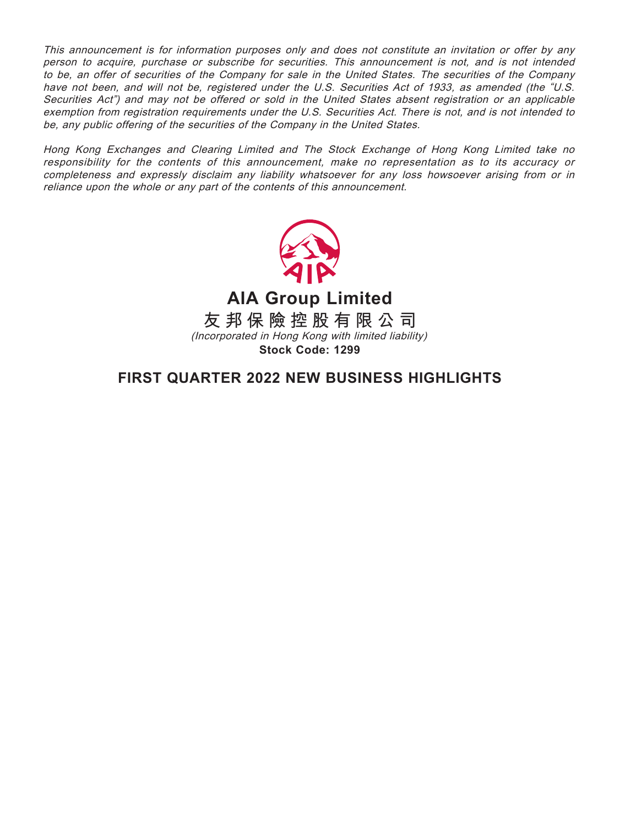This announcement is for information purposes only and does not constitute an invitation or offer by any person to acquire, purchase or subscribe for securities. This announcement is not, and is not intended to be, an offer of securities of the Company for sale in the United States. The securities of the Company have not been, and will not be, registered under the U.S. Securities Act of 1933, as amended (the "U.S. Securities Act") and may not be offered or sold in the United States absent registration or an applicable exemption from registration requirements under the U.S. Securities Act. There is not, and is not intended to be, any public offering of the securities of the Company in the United States.

Hong Kong Exchanges and Clearing Limited and The Stock Exchange of Hong Kong Limited take no responsibility for the contents of this announcement, make no representation as to its accuracy or completeness and expressly disclaim any liability whatsoever for any loss howsoever arising from or in reliance upon the whole or any part of the contents of this announcement.



**AIA Group Limited**

**友邦保險控股有限公司** (Incorporated in Hong Kong with limited liability) **Stock Code: 1299**

**FIRST QUARTER 2022 NEW BUSINESS HIGHLIGHTS**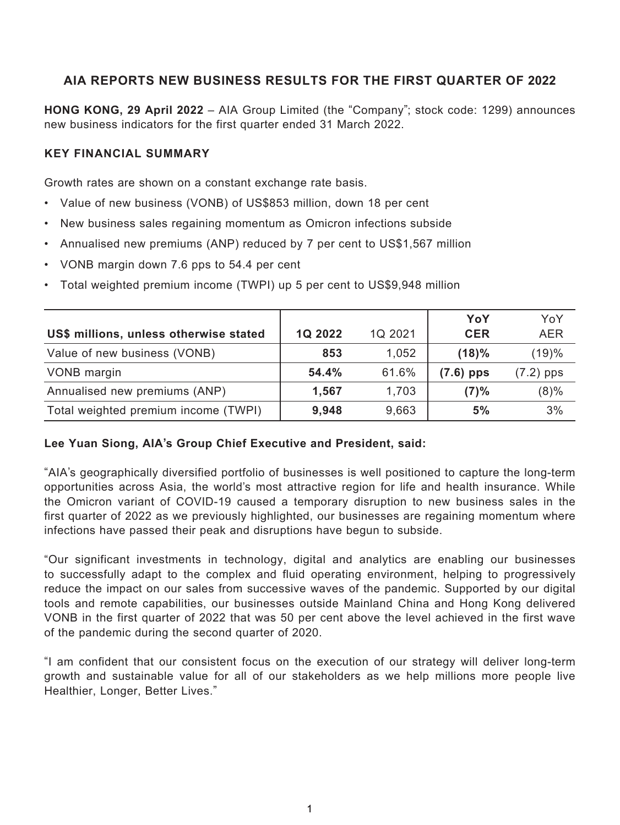# **AIA REPORTS NEW BUSINESS RESULTS FOR THE FIRST QUARTER OF 2022**

**HONG KONG, 29 April 2022** – AIA Group Limited (the "Company"; stock code: 1299) announces new business indicators for the first quarter ended 31 March 2022.

### **KEY FINANCIAL SUMMARY**

Growth rates are shown on a constant exchange rate basis.

- Value of new business (VONB) of US\$853 million, down 18 per cent
- New business sales regaining momentum as Omicron infections subside
- Annualised new premiums (ANP) reduced by 7 per cent to US\$1,567 million
- VONB margin down 7.6 pps to 54.4 per cent
- Total weighted premium income (TWPI) up 5 per cent to US\$9,948 million

|                                        |         |         | YoY         | YoY         |
|----------------------------------------|---------|---------|-------------|-------------|
| US\$ millions, unless otherwise stated | 1Q 2022 | 1Q 2021 | <b>CER</b>  | <b>AER</b>  |
| Value of new business (VONB)           | 853     | 1,052   | (18)%       | (19)%       |
| VONB margin                            | 54.4%   | 61.6%   | $(7.6)$ pps | $(7.2)$ pps |
| Annualised new premiums (ANP)          | 1,567   | 1,703   | (7)%        | $(8)\%$     |
| Total weighted premium income (TWPI)   | 9,948   | 9,663   | 5%          | 3%          |

### **Lee Yuan Siong, AIA's Group Chief Executive and President, said:**

"AIA's geographically diversified portfolio of businesses is well positioned to capture the long-term opportunities across Asia, the world's most attractive region for life and health insurance. While the Omicron variant of COVID-19 caused a temporary disruption to new business sales in the first quarter of 2022 as we previously highlighted, our businesses are regaining momentum where infections have passed their peak and disruptions have begun to subside.

"Our significant investments in technology, digital and analytics are enabling our businesses to successfully adapt to the complex and fluid operating environment, helping to progressively reduce the impact on our sales from successive waves of the pandemic. Supported by our digital tools and remote capabilities, our businesses outside Mainland China and Hong Kong delivered VONB in the first quarter of 2022 that was 50 per cent above the level achieved in the first wave of the pandemic during the second quarter of 2020.

"I am confident that our consistent focus on the execution of our strategy will deliver long-term growth and sustainable value for all of our stakeholders as we help millions more people live Healthier, Longer, Better Lives."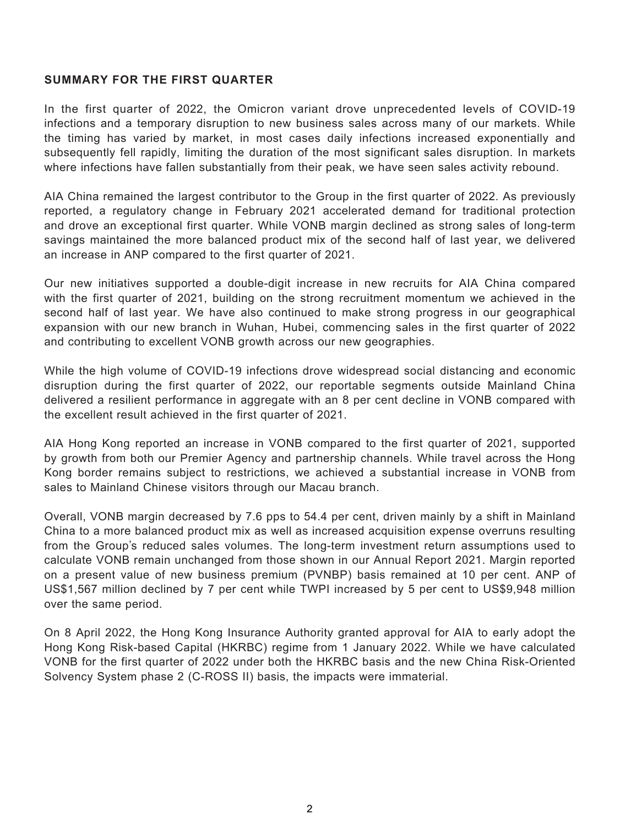### **SUMMARY FOR THE FIRST QUARTER**

In the first quarter of 2022, the Omicron variant drove unprecedented levels of COVID-19 infections and a temporary disruption to new business sales across many of our markets. While the timing has varied by market, in most cases daily infections increased exponentially and subsequently fell rapidly, limiting the duration of the most significant sales disruption. In markets where infections have fallen substantially from their peak, we have seen sales activity rebound.

AIA China remained the largest contributor to the Group in the first quarter of 2022. As previously reported, a regulatory change in February 2021 accelerated demand for traditional protection and drove an exceptional first quarter. While VONB margin declined as strong sales of long-term savings maintained the more balanced product mix of the second half of last year, we delivered an increase in ANP compared to the first quarter of 2021.

Our new initiatives supported a double-digit increase in new recruits for AIA China compared with the first quarter of 2021, building on the strong recruitment momentum we achieved in the second half of last year. We have also continued to make strong progress in our geographical expansion with our new branch in Wuhan, Hubei, commencing sales in the first quarter of 2022 and contributing to excellent VONB growth across our new geographies.

While the high volume of COVID-19 infections drove widespread social distancing and economic disruption during the first quarter of 2022, our reportable segments outside Mainland China delivered a resilient performance in aggregate with an 8 per cent decline in VONB compared with the excellent result achieved in the first quarter of 2021.

AIA Hong Kong reported an increase in VONB compared to the first quarter of 2021, supported by growth from both our Premier Agency and partnership channels. While travel across the Hong Kong border remains subject to restrictions, we achieved a substantial increase in VONB from sales to Mainland Chinese visitors through our Macau branch.

Overall, VONB margin decreased by 7.6 pps to 54.4 per cent, driven mainly by a shift in Mainland China to a more balanced product mix as well as increased acquisition expense overruns resulting from the Group's reduced sales volumes. The long-term investment return assumptions used to calculate VONB remain unchanged from those shown in our Annual Report 2021. Margin reported on a present value of new business premium (PVNBP) basis remained at 10 per cent. ANP of US\$1,567 million declined by 7 per cent while TWPI increased by 5 per cent to US\$9,948 million over the same period.

On 8 April 2022, the Hong Kong Insurance Authority granted approval for AIA to early adopt the Hong Kong Risk-based Capital (HKRBC) regime from 1 January 2022. While we have calculated VONB for the first quarter of 2022 under both the HKRBC basis and the new China Risk-Oriented Solvency System phase 2 (C-ROSS II) basis, the impacts were immaterial.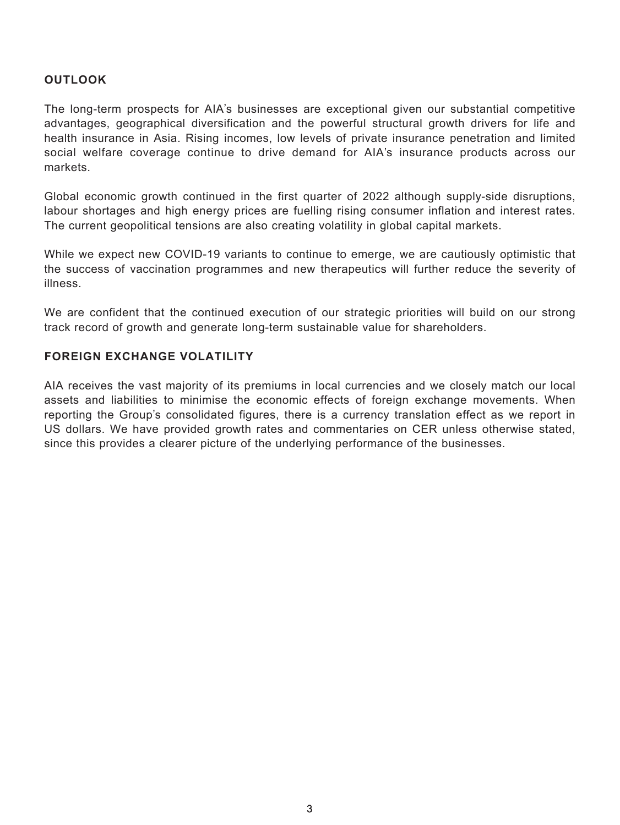## **OUTLOOK**

The long-term prospects for AIA's businesses are exceptional given our substantial competitive advantages, geographical diversification and the powerful structural growth drivers for life and health insurance in Asia. Rising incomes, low levels of private insurance penetration and limited social welfare coverage continue to drive demand for AIA's insurance products across our markets.

Global economic growth continued in the first quarter of 2022 although supply-side disruptions, labour shortages and high energy prices are fuelling rising consumer inflation and interest rates. The current geopolitical tensions are also creating volatility in global capital markets.

While we expect new COVID-19 variants to continue to emerge, we are cautiously optimistic that the success of vaccination programmes and new therapeutics will further reduce the severity of illness.

We are confident that the continued execution of our strategic priorities will build on our strong track record of growth and generate long-term sustainable value for shareholders.

### **FOREIGN EXCHANGE VOLATILITY**

AIA receives the vast majority of its premiums in local currencies and we closely match our local assets and liabilities to minimise the economic effects of foreign exchange movements. When reporting the Group's consolidated figures, there is a currency translation effect as we report in US dollars. We have provided growth rates and commentaries on CER unless otherwise stated, since this provides a clearer picture of the underlying performance of the businesses.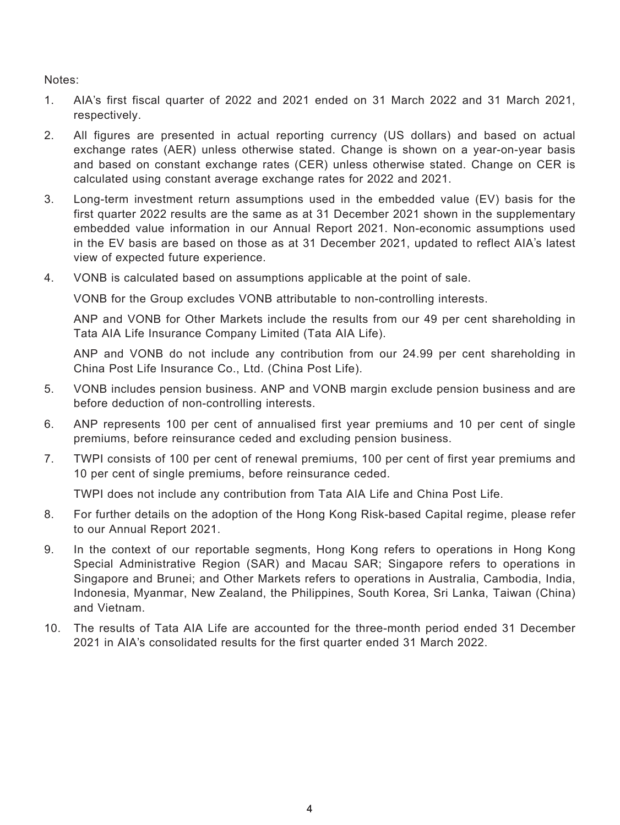Notes:

- 1. AIA's first fiscal quarter of 2022 and 2021 ended on 31 March 2022 and 31 March 2021, respectively.
- 2. All figures are presented in actual reporting currency (US dollars) and based on actual exchange rates (AER) unless otherwise stated. Change is shown on a year-on-year basis and based on constant exchange rates (CER) unless otherwise stated. Change on CER is calculated using constant average exchange rates for 2022 and 2021.
- 3. Long-term investment return assumptions used in the embedded value (EV) basis for the first quarter 2022 results are the same as at 31 December 2021 shown in the supplementary embedded value information in our Annual Report 2021. Non-economic assumptions used in the EV basis are based on those as at 31 December 2021, updated to reflect AIA's latest view of expected future experience.
- 4. VONB is calculated based on assumptions applicable at the point of sale.

VONB for the Group excludes VONB attributable to non-controlling interests.

ANP and VONB for Other Markets include the results from our 49 per cent shareholding in Tata AIA Life Insurance Company Limited (Tata AIA Life).

ANP and VONB do not include any contribution from our 24.99 per cent shareholding in China Post Life Insurance Co., Ltd. (China Post Life).

- 5. VONB includes pension business. ANP and VONB margin exclude pension business and are before deduction of non-controlling interests.
- 6. ANP represents 100 per cent of annualised first year premiums and 10 per cent of single premiums, before reinsurance ceded and excluding pension business.
- 7. TWPI consists of 100 per cent of renewal premiums, 100 per cent of first year premiums and 10 per cent of single premiums, before reinsurance ceded.

TWPI does not include any contribution from Tata AIA Life and China Post Life.

- 8. For further details on the adoption of the Hong Kong Risk-based Capital regime, please refer to our Annual Report 2021.
- 9. In the context of our reportable segments, Hong Kong refers to operations in Hong Kong Special Administrative Region (SAR) and Macau SAR; Singapore refers to operations in Singapore and Brunei; and Other Markets refers to operations in Australia, Cambodia, India, Indonesia, Myanmar, New Zealand, the Philippines, South Korea, Sri Lanka, Taiwan (China) and Vietnam.
- 10. The results of Tata AIA Life are accounted for the three-month period ended 31 December 2021 in AIA's consolidated results for the first quarter ended 31 March 2022.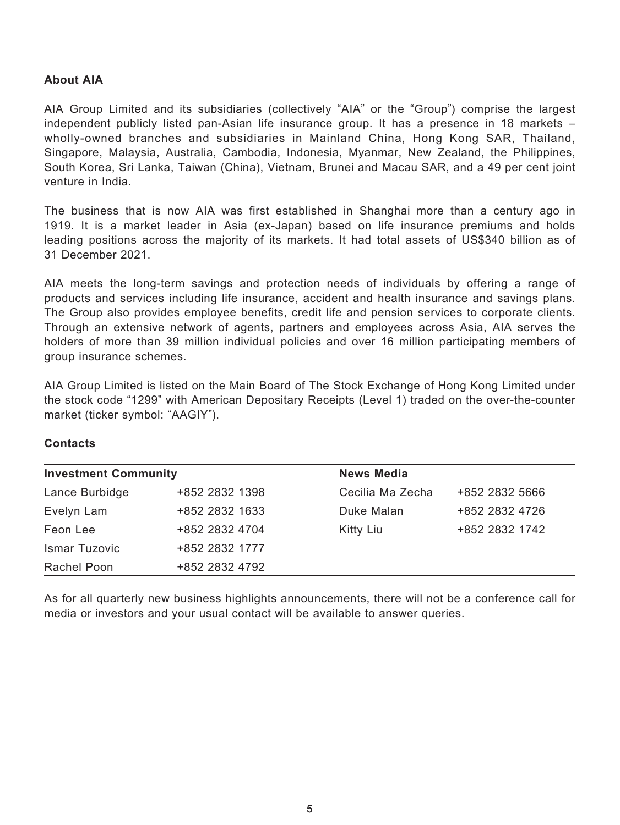### **About AIA**

AIA Group Limited and its subsidiaries (collectively "AIA" or the "Group") comprise the largest independent publicly listed pan-Asian life insurance group. It has a presence in 18 markets – wholly-owned branches and subsidiaries in Mainland China, Hong Kong SAR, Thailand, Singapore, Malaysia, Australia, Cambodia, Indonesia, Myanmar, New Zealand, the Philippines, South Korea, Sri Lanka, Taiwan (China), Vietnam, Brunei and Macau SAR, and a 49 per cent joint venture in India.

The business that is now AIA was first established in Shanghai more than a century ago in 1919. It is a market leader in Asia (ex-Japan) based on life insurance premiums and holds leading positions across the majority of its markets. It had total assets of US\$340 billion as of 31 December 2021.

AIA meets the long-term savings and protection needs of individuals by offering a range of products and services including life insurance, accident and health insurance and savings plans. The Group also provides employee benefits, credit life and pension services to corporate clients. Through an extensive network of agents, partners and employees across Asia, AIA serves the holders of more than 39 million individual policies and over 16 million participating members of group insurance schemes.

AIA Group Limited is listed on the Main Board of The Stock Exchange of Hong Kong Limited under the stock code "1299" with American Depositary Receipts (Level 1) traded on the over-the-counter market (ticker symbol: "AAGIY").

### **Contacts**

| <b>Investment Community</b> |                | <b>News Media</b> |                |
|-----------------------------|----------------|-------------------|----------------|
| Lance Burbidge              | +852 2832 1398 | Cecilia Ma Zecha  | +852 2832 5666 |
| Evelyn Lam                  | +852 2832 1633 | Duke Malan        | +852 2832 4726 |
| Feon Lee                    | +852 2832 4704 | Kitty Liu         | +852 2832 1742 |
| Ismar Tuzovic               | +852 2832 1777 |                   |                |
| Rachel Poon                 | +852 2832 4792 |                   |                |

As for all quarterly new business highlights announcements, there will not be a conference call for media or investors and your usual contact will be available to answer queries.